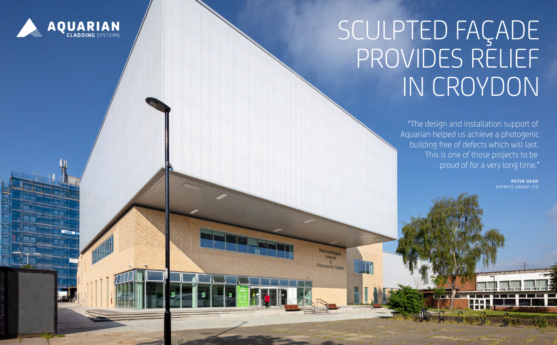

**NHS** 

# SCULPTED FAÇADE PROVIDES RELIEF IN CROYDON

"The design and installation support of Aquarian helped us achieve a photogenic building free of defects which will last. This is one of those projects to be proud of for a very long time."

> **PE TER HEAD**  EXPRESS GROUP LTD